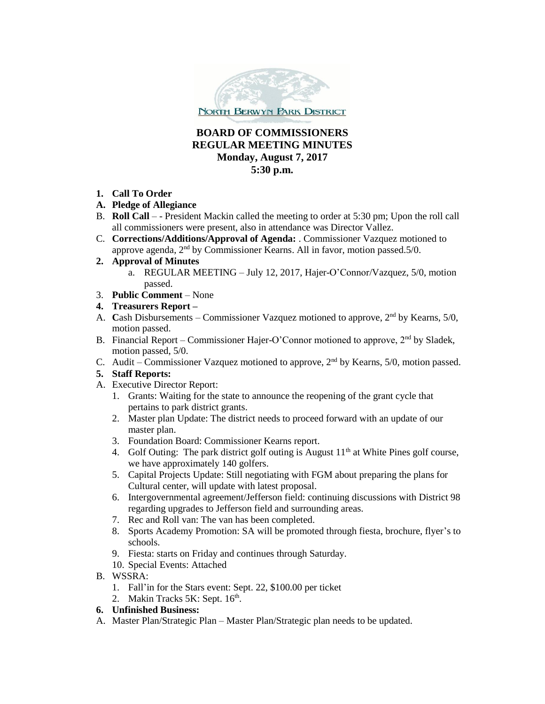

## **BOARD OF COMMISSIONERS REGULAR MEETING MINUTES Monday, August 7, 2017 5:30 p.m.**

- **1. Call To Order**
- **A. Pledge of Allegiance**
- B. **Roll Call**  - President Mackin called the meeting to order at 5:30 pm; Upon the roll call all commissioners were present, also in attendance was Director Vallez.
- C. **Corrections/Additions/Approval of Agenda:** . Commissioner Vazquez motioned to approve agenda, 2nd by Commissioner Kearns. All in favor, motion passed.5/0.
- **2. Approval of Minutes**
	- a. REGULAR MEETING July 12, 2017, Hajer-O'Connor/Vazquez, 5/0, motion passed.
- 3. **Public Comment** None
- **4. Treasurers Report –**
- A. Cash Disbursements Commissioner Vazquez motioned to approve, 2<sup>nd</sup> by Kearns, 5/0, motion passed.
- B. Financial Report Commissioner Hajer-O'Connor motioned to approve,  $2<sup>nd</sup>$  by Sladek, motion passed, 5/0.
- C. Audit Commissioner Vazquez motioned to approve,  $2<sup>nd</sup>$  by Kearns, 5/0, motion passed.

## **5. Staff Reports:**

- A. Executive Director Report:
	- 1. Grants: Waiting for the state to announce the reopening of the grant cycle that pertains to park district grants.
	- 2. Master plan Update: The district needs to proceed forward with an update of our master plan.
	- 3. Foundation Board: Commissioner Kearns report.
	- 4. Golf Outing: The park district golf outing is August  $11<sup>th</sup>$  at White Pines golf course, we have approximately 140 golfers.
	- 5. Capital Projects Update: Still negotiating with FGM about preparing the plans for Cultural center, will update with latest proposal.
	- 6. Intergovernmental agreement/Jefferson field: continuing discussions with District 98 regarding upgrades to Jefferson field and surrounding areas.
	- 7. Rec and Roll van: The van has been completed.
	- 8. Sports Academy Promotion: SA will be promoted through fiesta, brochure, flyer's to schools.
	- 9. Fiesta: starts on Friday and continues through Saturday.
	- 10. Special Events: Attached
- B. WSSRA:
	- 1. Fall'in for the Stars event: Sept. 22, \$100.00 per ticket
	- 2. Makin Tracks 5K: Sept. 16<sup>th</sup>.

## **6. Unfinished Business:**

A. Master Plan/Strategic Plan – Master Plan/Strategic plan needs to be updated.